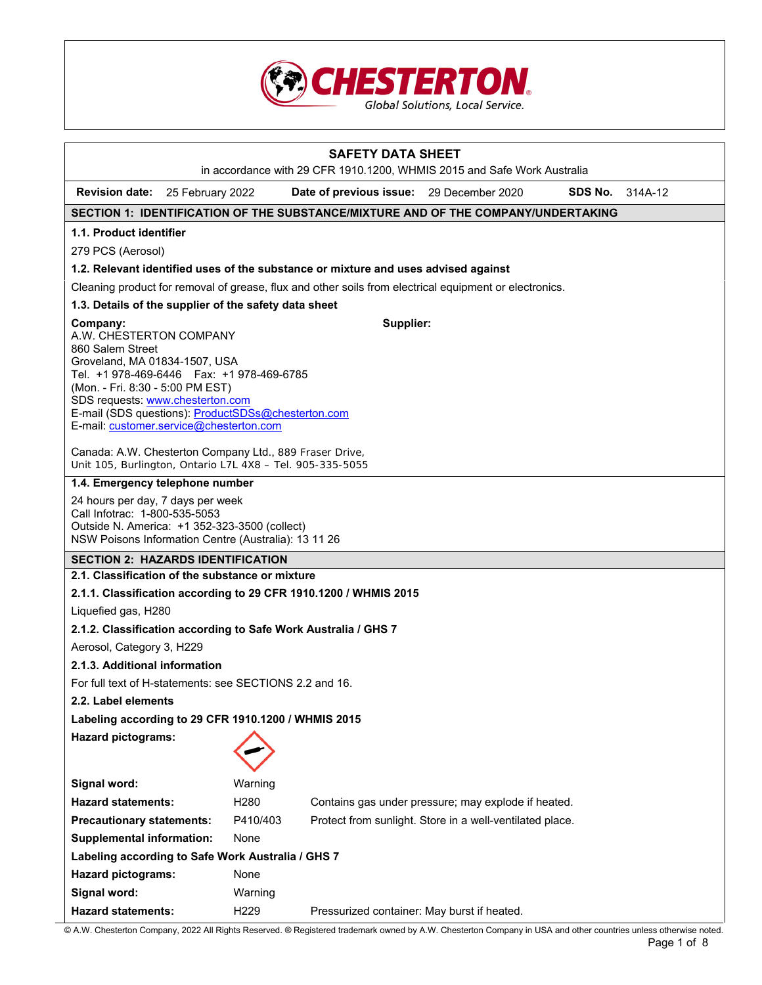

| <b>SAFETY DATA SHEET</b><br>in accordance with 29 CFR 1910.1200, WHMIS 2015 and Safe Work Australia                                                                                                                                                                                                                            |                  |                                             |                                                          |                |         |
|--------------------------------------------------------------------------------------------------------------------------------------------------------------------------------------------------------------------------------------------------------------------------------------------------------------------------------|------------------|---------------------------------------------|----------------------------------------------------------|----------------|---------|
| <b>Revision date:</b> 25 February 2022                                                                                                                                                                                                                                                                                         |                  | Date of previous issue: 29 December 2020    |                                                          | <b>SDS No.</b> | 314A-12 |
| SECTION 1: IDENTIFICATION OF THE SUBSTANCE/MIXTURE AND OF THE COMPANY/UNDERTAKING                                                                                                                                                                                                                                              |                  |                                             |                                                          |                |         |
| 1.1. Product identifier                                                                                                                                                                                                                                                                                                        |                  |                                             |                                                          |                |         |
| 279 PCS (Aerosol)                                                                                                                                                                                                                                                                                                              |                  |                                             |                                                          |                |         |
| 1.2. Relevant identified uses of the substance or mixture and uses advised against                                                                                                                                                                                                                                             |                  |                                             |                                                          |                |         |
| Cleaning product for removal of grease, flux and other soils from electrical equipment or electronics.                                                                                                                                                                                                                         |                  |                                             |                                                          |                |         |
| 1.3. Details of the supplier of the safety data sheet                                                                                                                                                                                                                                                                          |                  |                                             |                                                          |                |         |
|                                                                                                                                                                                                                                                                                                                                |                  |                                             |                                                          |                |         |
| Supplier:<br>Company:<br>A.W. CHESTERTON COMPANY<br>860 Salem Street<br>Groveland, MA 01834-1507, USA<br>Tel. +1 978-469-6446    Fax: +1 978-469-6785<br>(Mon. - Fri. 8:30 - 5:00 PM EST)<br>SDS requests: www.chesterton.com<br>E-mail (SDS questions): ProductSDSs@chesterton.com<br>E-mail: customer.service@chesterton.com |                  |                                             |                                                          |                |         |
| Canada: A.W. Chesterton Company Ltd., 889 Fraser Drive,<br>Unit 105, Burlington, Ontario L7L 4X8 - Tel. 905-335-5055                                                                                                                                                                                                           |                  |                                             |                                                          |                |         |
| 1.4. Emergency telephone number                                                                                                                                                                                                                                                                                                |                  |                                             |                                                          |                |         |
| 24 hours per day, 7 days per week<br>Call Infotrac: 1-800-535-5053<br>Outside N. America: +1 352-323-3500 (collect)<br>NSW Poisons Information Centre (Australia): 13 11 26                                                                                                                                                    |                  |                                             |                                                          |                |         |
| <b>SECTION 2: HAZARDS IDENTIFICATION</b>                                                                                                                                                                                                                                                                                       |                  |                                             |                                                          |                |         |
| 2.1. Classification of the substance or mixture                                                                                                                                                                                                                                                                                |                  |                                             |                                                          |                |         |
| 2.1.1. Classification according to 29 CFR 1910.1200 / WHMIS 2015                                                                                                                                                                                                                                                               |                  |                                             |                                                          |                |         |
| Liquefied gas, H280                                                                                                                                                                                                                                                                                                            |                  |                                             |                                                          |                |         |
| 2.1.2. Classification according to Safe Work Australia / GHS 7                                                                                                                                                                                                                                                                 |                  |                                             |                                                          |                |         |
| Aerosol, Category 3, H229                                                                                                                                                                                                                                                                                                      |                  |                                             |                                                          |                |         |
| 2.1.3. Additional information                                                                                                                                                                                                                                                                                                  |                  |                                             |                                                          |                |         |
| For full text of H-statements: see SECTIONS 2.2 and 16.                                                                                                                                                                                                                                                                        |                  |                                             |                                                          |                |         |
| 2.2. Label elements                                                                                                                                                                                                                                                                                                            |                  |                                             |                                                          |                |         |
| Labeling according to 29 CFR 1910.1200 / WHMIS 2015                                                                                                                                                                                                                                                                            |                  |                                             |                                                          |                |         |
| <b>Hazard pictograms:</b>                                                                                                                                                                                                                                                                                                      |                  |                                             |                                                          |                |         |
| Signal word:                                                                                                                                                                                                                                                                                                                   | Warning          |                                             |                                                          |                |         |
| <b>Hazard statements:</b>                                                                                                                                                                                                                                                                                                      | H <sub>280</sub> |                                             | Contains gas under pressure; may explode if heated.      |                |         |
| <b>Precautionary statements:</b>                                                                                                                                                                                                                                                                                               | P410/403         |                                             | Protect from sunlight. Store in a well-ventilated place. |                |         |
| <b>Supplemental information:</b>                                                                                                                                                                                                                                                                                               | None             |                                             |                                                          |                |         |
| Labeling according to Safe Work Australia / GHS 7                                                                                                                                                                                                                                                                              |                  |                                             |                                                          |                |         |
| <b>Hazard pictograms:</b>                                                                                                                                                                                                                                                                                                      | None             |                                             |                                                          |                |         |
| Signal word:                                                                                                                                                                                                                                                                                                                   | Warning          |                                             |                                                          |                |         |
| <b>Hazard statements:</b>                                                                                                                                                                                                                                                                                                      | H <sub>229</sub> | Pressurized container: May burst if heated. |                                                          |                |         |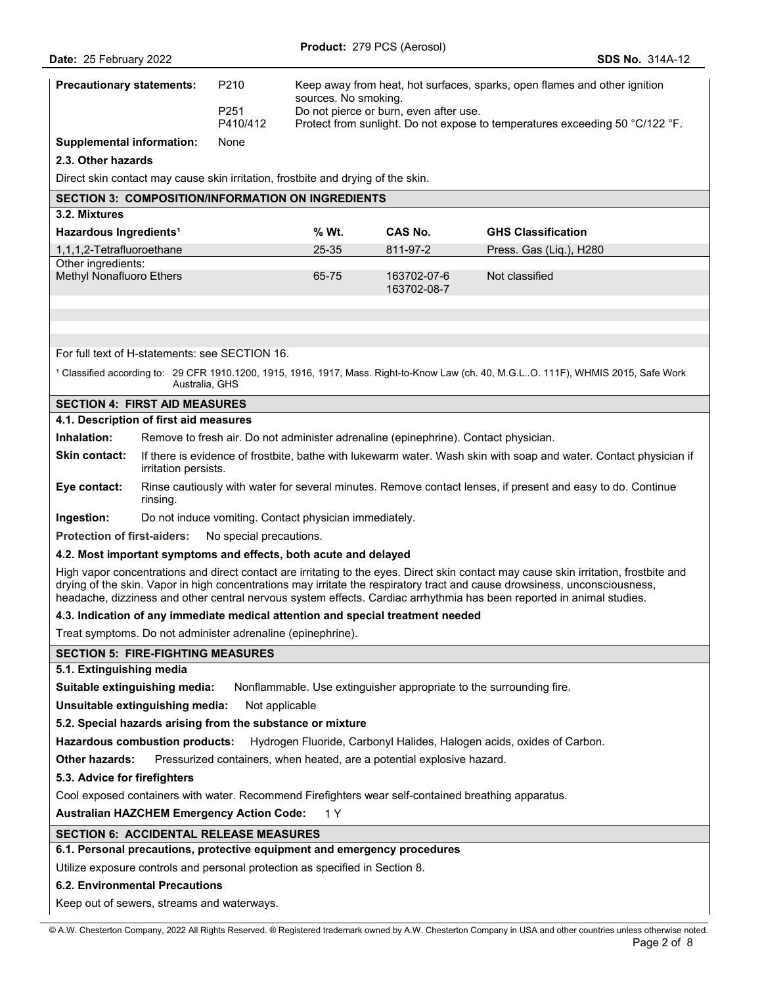| <b>Precautionary statements:</b>                                                                                                                                                                                                                                                                                                                                                             |                                                                                                                                           | P210                                                                                                        | Keep away from heat, hot surfaces, sparks, open flames and other ignition<br>sources. No smoking. |                                                                                     |                                                                                                                                                 |
|----------------------------------------------------------------------------------------------------------------------------------------------------------------------------------------------------------------------------------------------------------------------------------------------------------------------------------------------------------------------------------------------|-------------------------------------------------------------------------------------------------------------------------------------------|-------------------------------------------------------------------------------------------------------------|---------------------------------------------------------------------------------------------------|-------------------------------------------------------------------------------------|-------------------------------------------------------------------------------------------------------------------------------------------------|
|                                                                                                                                                                                                                                                                                                                                                                                              |                                                                                                                                           | P <sub>251</sub><br>P410/412                                                                                |                                                                                                   | Do not pierce or burn, even after use.                                              | Protect from sunlight. Do not expose to temperatures exceeding 50 °C/122 °F.                                                                    |
| <b>Supplemental information:</b>                                                                                                                                                                                                                                                                                                                                                             |                                                                                                                                           | None                                                                                                        |                                                                                                   |                                                                                     |                                                                                                                                                 |
| 2.3. Other hazards                                                                                                                                                                                                                                                                                                                                                                           |                                                                                                                                           |                                                                                                             |                                                                                                   |                                                                                     |                                                                                                                                                 |
|                                                                                                                                                                                                                                                                                                                                                                                              |                                                                                                                                           |                                                                                                             | Direct skin contact may cause skin irritation, frostbite and drying of the skin.                  |                                                                                     |                                                                                                                                                 |
|                                                                                                                                                                                                                                                                                                                                                                                              |                                                                                                                                           |                                                                                                             | <b>SECTION 3: COMPOSITION/INFORMATION ON INGREDIENTS</b>                                          |                                                                                     |                                                                                                                                                 |
| 3.2. Mixtures                                                                                                                                                                                                                                                                                                                                                                                |                                                                                                                                           |                                                                                                             |                                                                                                   |                                                                                     |                                                                                                                                                 |
| Hazardous Ingredients <sup>1</sup>                                                                                                                                                                                                                                                                                                                                                           |                                                                                                                                           |                                                                                                             | % Wt.                                                                                             | <b>CAS No.</b>                                                                      | <b>GHS Classification</b>                                                                                                                       |
| 1,1,1,2-Tetrafluoroethane                                                                                                                                                                                                                                                                                                                                                                    |                                                                                                                                           |                                                                                                             | 25-35                                                                                             | 811-97-2                                                                            | Press. Gas (Liq.), H280                                                                                                                         |
| Other ingredients:<br>Methyl Nonafluoro Ethers                                                                                                                                                                                                                                                                                                                                               |                                                                                                                                           |                                                                                                             | 65-75                                                                                             | 163702-07-6                                                                         | Not classified                                                                                                                                  |
|                                                                                                                                                                                                                                                                                                                                                                                              |                                                                                                                                           |                                                                                                             |                                                                                                   | 163702-08-7                                                                         |                                                                                                                                                 |
|                                                                                                                                                                                                                                                                                                                                                                                              |                                                                                                                                           |                                                                                                             |                                                                                                   |                                                                                     |                                                                                                                                                 |
|                                                                                                                                                                                                                                                                                                                                                                                              |                                                                                                                                           |                                                                                                             |                                                                                                   |                                                                                     |                                                                                                                                                 |
|                                                                                                                                                                                                                                                                                                                                                                                              |                                                                                                                                           | For full text of H-statements: see SECTION 16.                                                              |                                                                                                   |                                                                                     |                                                                                                                                                 |
|                                                                                                                                                                                                                                                                                                                                                                                              | Australia, GHS                                                                                                                            |                                                                                                             |                                                                                                   |                                                                                     | <sup>1</sup> Classified according to: 29 CFR 1910.1200, 1915, 1916, 1917, Mass. Right-to-Know Law (ch. 40, M.G.LO. 111F), WHMIS 2015, Safe Work |
| <b>SECTION 4: FIRST AID MEASURES</b>                                                                                                                                                                                                                                                                                                                                                         |                                                                                                                                           |                                                                                                             |                                                                                                   |                                                                                     |                                                                                                                                                 |
| 4.1. Description of first aid measures                                                                                                                                                                                                                                                                                                                                                       |                                                                                                                                           |                                                                                                             |                                                                                                   |                                                                                     |                                                                                                                                                 |
| Inhalation:                                                                                                                                                                                                                                                                                                                                                                                  |                                                                                                                                           |                                                                                                             |                                                                                                   | Remove to fresh air. Do not administer adrenaline (epinephrine). Contact physician. |                                                                                                                                                 |
| Skin contact:                                                                                                                                                                                                                                                                                                                                                                                | If there is evidence of frostbite, bathe with lukewarm water. Wash skin with soap and water. Contact physician if<br>irritation persists. |                                                                                                             |                                                                                                   |                                                                                     |                                                                                                                                                 |
| Eye contact:                                                                                                                                                                                                                                                                                                                                                                                 | rinsing.                                                                                                                                  | Rinse cautiously with water for several minutes. Remove contact lenses, if present and easy to do. Continue |                                                                                                   |                                                                                     |                                                                                                                                                 |
| Ingestion:                                                                                                                                                                                                                                                                                                                                                                                   |                                                                                                                                           |                                                                                                             | Do not induce vomiting. Contact physician immediately.                                            |                                                                                     |                                                                                                                                                 |
| <b>Protection of first-aiders:</b>                                                                                                                                                                                                                                                                                                                                                           |                                                                                                                                           | No special precautions.                                                                                     |                                                                                                   |                                                                                     |                                                                                                                                                 |
| 4.2. Most important symptoms and effects, both acute and delayed                                                                                                                                                                                                                                                                                                                             |                                                                                                                                           |                                                                                                             |                                                                                                   |                                                                                     |                                                                                                                                                 |
| High vapor concentrations and direct contact are irritating to the eyes. Direct skin contact may cause skin irritation, frostbite and<br>drying of the skin. Vapor in high concentrations may irritate the respiratory tract and cause drowsiness, unconsciousness,<br>headache, dizziness and other central nervous system effects. Cardiac arrhythmia has been reported in animal studies. |                                                                                                                                           |                                                                                                             |                                                                                                   |                                                                                     |                                                                                                                                                 |
|                                                                                                                                                                                                                                                                                                                                                                                              |                                                                                                                                           |                                                                                                             |                                                                                                   | 4.3. Indication of any immediate medical attention and special treatment needed     |                                                                                                                                                 |
|                                                                                                                                                                                                                                                                                                                                                                                              |                                                                                                                                           | Treat symptoms. Do not administer adrenaline (epinephrine).                                                 |                                                                                                   |                                                                                     |                                                                                                                                                 |
| <b>SECTION 5: FIRE-FIGHTING MEASURES</b>                                                                                                                                                                                                                                                                                                                                                     |                                                                                                                                           |                                                                                                             |                                                                                                   |                                                                                     |                                                                                                                                                 |
| 5.1. Extinguishing media                                                                                                                                                                                                                                                                                                                                                                     |                                                                                                                                           |                                                                                                             |                                                                                                   |                                                                                     |                                                                                                                                                 |
| Nonflammable. Use extinguisher appropriate to the surrounding fire.<br>Suitable extinguishing media:                                                                                                                                                                                                                                                                                         |                                                                                                                                           |                                                                                                             |                                                                                                   |                                                                                     |                                                                                                                                                 |
| Unsuitable extinguishing media:<br>Not applicable                                                                                                                                                                                                                                                                                                                                            |                                                                                                                                           |                                                                                                             |                                                                                                   |                                                                                     |                                                                                                                                                 |
|                                                                                                                                                                                                                                                                                                                                                                                              |                                                                                                                                           | 5.2. Special hazards arising from the substance or mixture                                                  |                                                                                                   |                                                                                     |                                                                                                                                                 |
|                                                                                                                                                                                                                                                                                                                                                                                              | <b>Hazardous combustion products:</b><br>Hydrogen Fluoride, Carbonyl Halides, Halogen acids, oxides of Carbon.                            |                                                                                                             |                                                                                                   |                                                                                     |                                                                                                                                                 |
| Pressurized containers, when heated, are a potential explosive hazard.<br><b>Other hazards:</b>                                                                                                                                                                                                                                                                                              |                                                                                                                                           |                                                                                                             |                                                                                                   |                                                                                     |                                                                                                                                                 |
| 5.3. Advice for firefighters                                                                                                                                                                                                                                                                                                                                                                 |                                                                                                                                           |                                                                                                             |                                                                                                   |                                                                                     |                                                                                                                                                 |
| Cool exposed containers with water. Recommend Firefighters wear self-contained breathing apparatus.                                                                                                                                                                                                                                                                                          |                                                                                                                                           |                                                                                                             |                                                                                                   |                                                                                     |                                                                                                                                                 |
| <b>Australian HAZCHEM Emergency Action Code:</b><br>1 Y                                                                                                                                                                                                                                                                                                                                      |                                                                                                                                           |                                                                                                             |                                                                                                   |                                                                                     |                                                                                                                                                 |
| <b>SECTION 6: ACCIDENTAL RELEASE MEASURES</b>                                                                                                                                                                                                                                                                                                                                                |                                                                                                                                           |                                                                                                             |                                                                                                   |                                                                                     |                                                                                                                                                 |
| 6.1. Personal precautions, protective equipment and emergency procedures                                                                                                                                                                                                                                                                                                                     |                                                                                                                                           |                                                                                                             |                                                                                                   |                                                                                     |                                                                                                                                                 |
| Utilize exposure controls and personal protection as specified in Section 8.                                                                                                                                                                                                                                                                                                                 |                                                                                                                                           |                                                                                                             |                                                                                                   |                                                                                     |                                                                                                                                                 |
| <b>6.2. Environmental Precautions</b>                                                                                                                                                                                                                                                                                                                                                        |                                                                                                                                           |                                                                                                             |                                                                                                   |                                                                                     |                                                                                                                                                 |
| Keep out of sewers, streams and waterways.                                                                                                                                                                                                                                                                                                                                                   |                                                                                                                                           |                                                                                                             |                                                                                                   |                                                                                     |                                                                                                                                                 |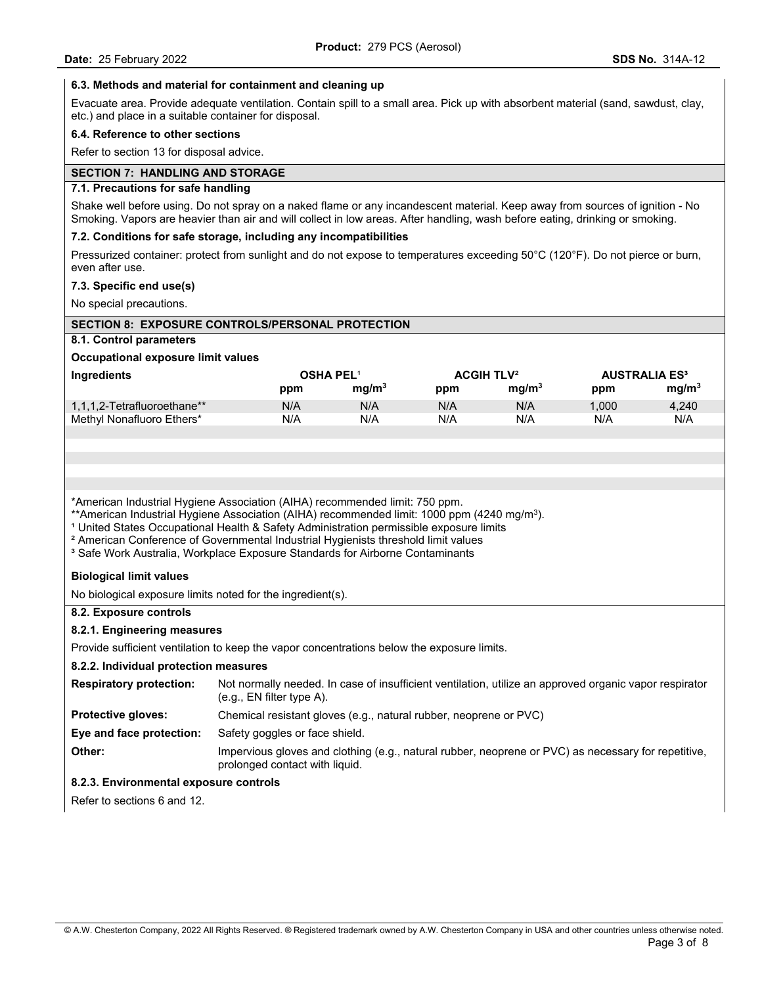## **6.3. Methods and material for containment and cleaning up**

Evacuate area. Provide adequate ventilation. Contain spill to a small area. Pick up with absorbent material (sand, sawdust, clay, etc.) and place in a suitable container for disposal.

## **6.4. Reference to other sections**

Refer to section 13 for disposal advice.

# **SECTION 7: HANDLING AND STORAGE**

## **7.1. Precautions for safe handling**

Shake well before using. Do not spray on a naked flame or any incandescent material. Keep away from sources of ignition - No Smoking. Vapors are heavier than air and will collect in low areas. After handling, wash before eating, drinking or smoking.

## **7.2. Conditions for safe storage, including any incompatibilities**

Pressurized container: protect from sunlight and do not expose to temperatures exceeding 50°C (120°F). Do not pierce or burn, even after use.

## **7.3. Specific end use(s)**

No special precautions.

| <b>SECTION 8: EXPOSURE CONTROLS/PERSONAL PROTECTION</b>                                                                                                                                                                                                                                                                                                                                                                                                                                   |                                                                                                                                       |                   |                              |                   |       |                                 |
|-------------------------------------------------------------------------------------------------------------------------------------------------------------------------------------------------------------------------------------------------------------------------------------------------------------------------------------------------------------------------------------------------------------------------------------------------------------------------------------------|---------------------------------------------------------------------------------------------------------------------------------------|-------------------|------------------------------|-------------------|-------|---------------------------------|
| 8.1. Control parameters                                                                                                                                                                                                                                                                                                                                                                                                                                                                   |                                                                                                                                       |                   |                              |                   |       |                                 |
| Occupational exposure limit values                                                                                                                                                                                                                                                                                                                                                                                                                                                        |                                                                                                                                       |                   |                              |                   |       |                                 |
| Ingredients                                                                                                                                                                                                                                                                                                                                                                                                                                                                               | <b>OSHA PEL1</b>                                                                                                                      |                   | <b>ACGIH TLV<sup>2</sup></b> |                   |       | <b>AUSTRALIA ES<sup>3</sup></b> |
|                                                                                                                                                                                                                                                                                                                                                                                                                                                                                           | ppm                                                                                                                                   | mg/m <sup>3</sup> | ppm                          | mg/m <sup>3</sup> | ppm   | mg/m <sup>3</sup>               |
| 1,1,1,2-Tetrafluoroethane**                                                                                                                                                                                                                                                                                                                                                                                                                                                               | N/A                                                                                                                                   | N/A               | N/A                          | N/A               | 1,000 | 4,240                           |
| Methyl Nonafluoro Ethers*                                                                                                                                                                                                                                                                                                                                                                                                                                                                 | N/A                                                                                                                                   | N/A               | N/A                          | N/A               | N/A   | N/A                             |
|                                                                                                                                                                                                                                                                                                                                                                                                                                                                                           |                                                                                                                                       |                   |                              |                   |       |                                 |
|                                                                                                                                                                                                                                                                                                                                                                                                                                                                                           |                                                                                                                                       |                   |                              |                   |       |                                 |
|                                                                                                                                                                                                                                                                                                                                                                                                                                                                                           |                                                                                                                                       |                   |                              |                   |       |                                 |
|                                                                                                                                                                                                                                                                                                                                                                                                                                                                                           |                                                                                                                                       |                   |                              |                   |       |                                 |
| *American Industrial Hygiene Association (AIHA) recommended limit: 750 ppm.<br>**American Industrial Hygiene Association (AIHA) recommended limit: 1000 ppm (4240 mg/m <sup>3</sup> ).<br><sup>1</sup> United States Occupational Health & Safety Administration permissible exposure limits<br><sup>2</sup> American Conference of Governmental Industrial Hygienists threshold limit values<br><sup>3</sup> Safe Work Australia, Workplace Exposure Standards for Airborne Contaminants |                                                                                                                                       |                   |                              |                   |       |                                 |
| <b>Biological limit values</b>                                                                                                                                                                                                                                                                                                                                                                                                                                                            |                                                                                                                                       |                   |                              |                   |       |                                 |
| No biological exposure limits noted for the ingredient(s).                                                                                                                                                                                                                                                                                                                                                                                                                                |                                                                                                                                       |                   |                              |                   |       |                                 |
| 8.2. Exposure controls                                                                                                                                                                                                                                                                                                                                                                                                                                                                    |                                                                                                                                       |                   |                              |                   |       |                                 |
| 8.2.1. Engineering measures                                                                                                                                                                                                                                                                                                                                                                                                                                                               |                                                                                                                                       |                   |                              |                   |       |                                 |
| Provide sufficient ventilation to keep the vapor concentrations below the exposure limits.                                                                                                                                                                                                                                                                                                                                                                                                |                                                                                                                                       |                   |                              |                   |       |                                 |
| 8.2.2. Individual protection measures                                                                                                                                                                                                                                                                                                                                                                                                                                                     |                                                                                                                                       |                   |                              |                   |       |                                 |
| Not normally needed. In case of insufficient ventilation, utilize an approved organic vapor respirator<br><b>Respiratory protection:</b><br>(e.g., EN filter type A).                                                                                                                                                                                                                                                                                                                     |                                                                                                                                       |                   |                              |                   |       |                                 |
| <b>Protective gloves:</b>                                                                                                                                                                                                                                                                                                                                                                                                                                                                 | Chemical resistant gloves (e.g., natural rubber, neoprene or PVC)                                                                     |                   |                              |                   |       |                                 |
| Eye and face protection:                                                                                                                                                                                                                                                                                                                                                                                                                                                                  | Safety goggles or face shield.                                                                                                        |                   |                              |                   |       |                                 |
| Other:                                                                                                                                                                                                                                                                                                                                                                                                                                                                                    | Impervious gloves and clothing (e.g., natural rubber, neoprene or PVC) as necessary for repetitive,<br>prolonged contact with liquid. |                   |                              |                   |       |                                 |
| 8.2.3. Environmental exposure controls                                                                                                                                                                                                                                                                                                                                                                                                                                                    |                                                                                                                                       |                   |                              |                   |       |                                 |
| Refer to sections 6 and 12.                                                                                                                                                                                                                                                                                                                                                                                                                                                               |                                                                                                                                       |                   |                              |                   |       |                                 |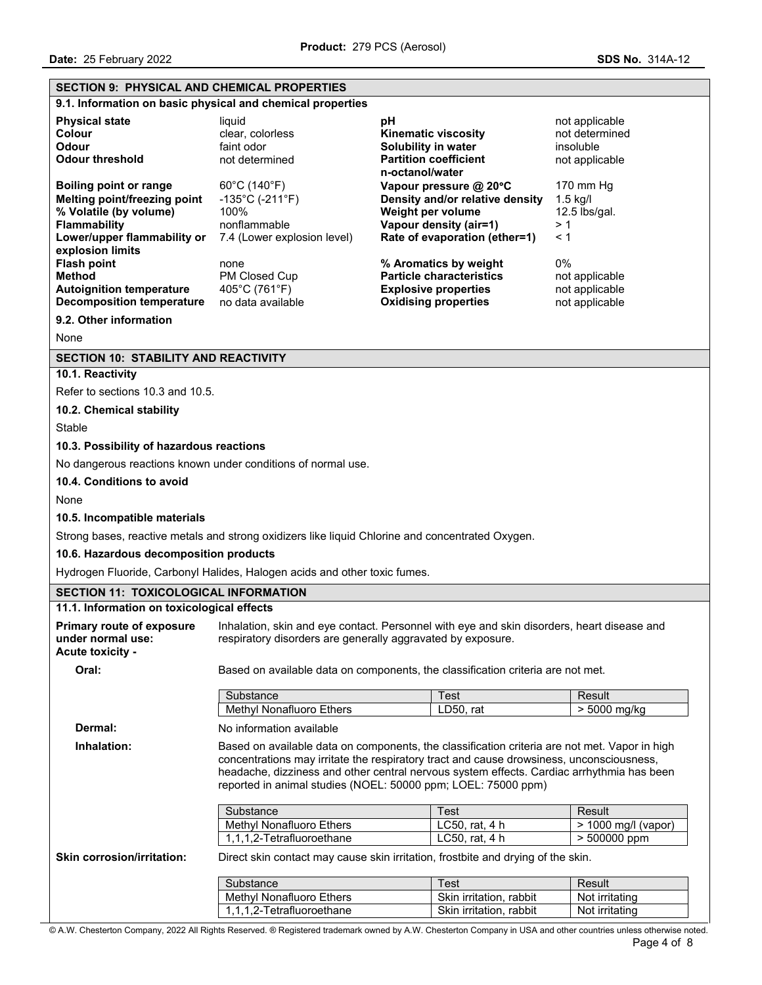## **SECTION 9: PHYSICAL AND CHEMICAL PROPERTIES**

**9.1. Information on basic physical and chemical properties**

| <b>Physical state</b><br>Colour<br>Odour<br><b>Odour threshold</b> | liauid<br>clear. colorless<br>faint odor<br>not determined | рH<br><b>Kinematic viscosity</b><br>Solubility in water<br><b>Partition coefficient</b><br>n-octanol/water | not applicable<br>not determined<br>insoluble<br>not applicable |
|--------------------------------------------------------------------|------------------------------------------------------------|------------------------------------------------------------------------------------------------------------|-----------------------------------------------------------------|
| Boiling point or range                                             | $60^{\circ}$ C (140 $^{\circ}$ F)                          | Vapour pressure @ $20^{\circ}$ C                                                                           | $170 \text{ mm}$ Hg                                             |
| Melting point/freezing point                                       | $-135^{\circ}$ C (-211 $^{\circ}$ F)                       | Density and/or relative density                                                                            | $1.5$ kg/l                                                      |
| % Volatile (by volume)                                             | 100%                                                       | Weight per volume                                                                                          | $12.5$ lbs/gal.                                                 |
| <b>Flammability</b>                                                | nonflammable                                               | Vapour density (air=1)                                                                                     | >1                                                              |
| Lower/upper flammability or<br>explosion limits                    | 7.4 (Lower explosion level)                                | Rate of evaporation (ether=1)                                                                              | $\leq 1$                                                        |
| <b>Flash point</b>                                                 | none                                                       | % Aromatics by weight                                                                                      | $0\%$                                                           |
| Method                                                             | PM Closed Cup                                              | <b>Particle characteristics</b>                                                                            | not applicable                                                  |
| <b>Autoignition temperature</b>                                    | 405°C (761°F)                                              | <b>Explosive properties</b>                                                                                | not applicable                                                  |
| Decomposition temperature                                          | no data available                                          | <b>Oxidising properties</b>                                                                                | not applicable                                                  |
| 9.2. Other information                                             |                                                            |                                                                                                            |                                                                 |

None

## **SECTION 10: STABILITY AND REACTIVITY**

## **10.1. Reactivity**

Refer to sections 10.3 and 10.5.

**10.2. Chemical stability** 

**Stable** 

## **10.3. Possibility of hazardous reactions**

No dangerous reactions known under conditions of normal use.

### **10.4. Conditions to avoid**

None

## **10.5. Incompatible materials**

Strong bases, reactive metals and strong oxidizers like liquid Chlorine and concentrated Oxygen.

## **10.6. Hazardous decomposition products**

Hydrogen Fluoride, Carbonyl Halides, Halogen acids and other toxic fumes.

# **SECTION 11: TOXICOLOGICAL INFORMATION**

# **11.1. Information on toxicological effects**

**Primary route of exposure under normal use:**  Inhalation, skin and eye contact. Personnel with eye and skin disorders, heart disease and respiratory disorders are generally aggravated by exposure. **Acute toxicity - Oral:** Based on available data on components, the classification criteria are not met. Substance **Test** Result Methyl Nonafluoro Ethers LD50, rat 2015 | > 5000 mg/kg

**Dermal:** No information available

 **Inhalation:** Based on available data on components, the classification criteria are not met. Vapor in high concentrations may irritate the respiratory tract and cause drowsiness, unconsciousness, headache, dizziness and other central nervous system effects. Cardiac arrhythmia has been reported in animal studies (NOEL: 50000 ppm; LOEL: 75000 ppm)

| Substance                 | ⊺est             | Result                |
|---------------------------|------------------|-----------------------|
| Methyl Nonafluoro Ethers  | LC50. $rat. 4 h$ | $>$ 1000 ma/l (vapor) |
| 1.1.1.2-Tetrafluoroethane | LC50, rat, 4 h   | $> 500000$ ppm        |

**Skin corrosion/irritation:** Direct skin contact may cause skin irritation, frostbite and drying of the skin.

| Substance                 | ⊺est                    | Result         |
|---------------------------|-------------------------|----------------|
| Methyl Nonafluoro Ethers  | Skin irritation, rabbit | Not irritating |
| 1.1.1.2-Tetrafluoroethane | Skin irritation, rabbit | Not irritating |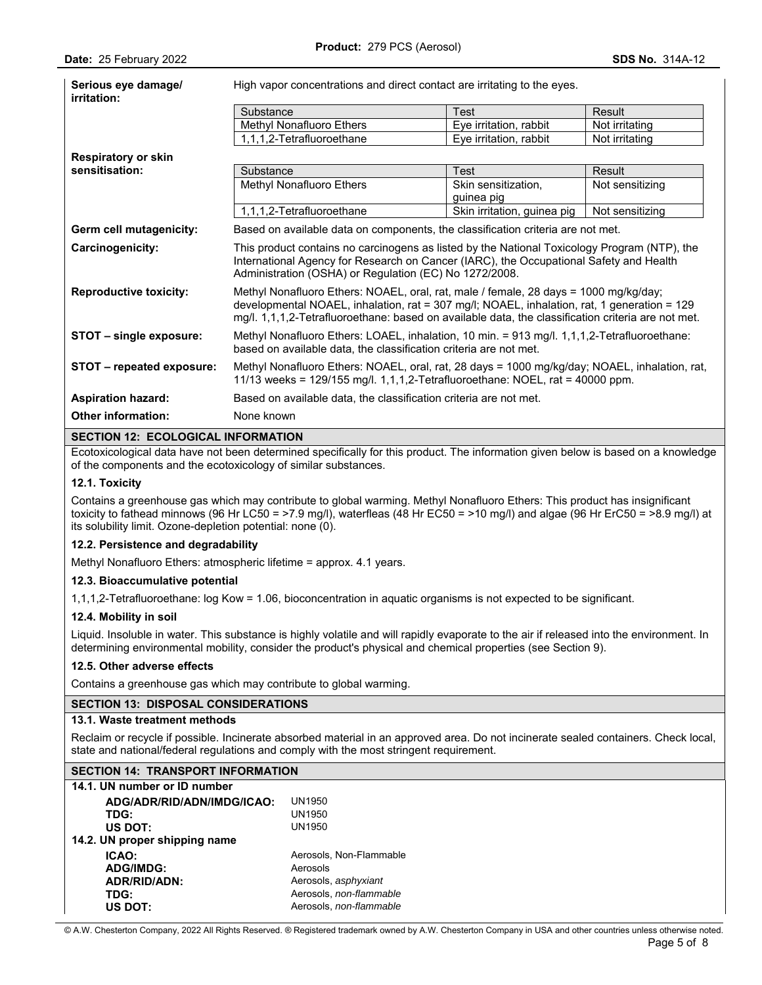| Serious eye damage/<br>irritation:        | High vapor concentrations and direct contact are irritating to the eyes.                                                                                                                                                                                                                  |                                   |                 |
|-------------------------------------------|-------------------------------------------------------------------------------------------------------------------------------------------------------------------------------------------------------------------------------------------------------------------------------------------|-----------------------------------|-----------------|
|                                           | Substance                                                                                                                                                                                                                                                                                 | Test                              | Result          |
|                                           | Methyl Nonafluoro Ethers                                                                                                                                                                                                                                                                  | Eye irritation, rabbit            | Not irritating  |
|                                           | 1,1,1,2-Tetrafluoroethane                                                                                                                                                                                                                                                                 | Eye irritation, rabbit            | Not irritating  |
| <b>Respiratory or skin</b>                |                                                                                                                                                                                                                                                                                           |                                   |                 |
| sensitisation:                            | Substance                                                                                                                                                                                                                                                                                 | <b>Test</b>                       | Result          |
|                                           | Methyl Nonafluoro Ethers                                                                                                                                                                                                                                                                  | Skin sensitization,<br>guinea pig | Not sensitizing |
|                                           | 1,1,1,2-Tetrafluoroethane                                                                                                                                                                                                                                                                 | Skin irritation, guinea pig       | Not sensitizing |
| Germ cell mutagenicity:                   | Based on available data on components, the classification criteria are not met.                                                                                                                                                                                                           |                                   |                 |
| Carcinogenicity:                          | This product contains no carcinogens as listed by the National Toxicology Program (NTP), the<br>International Agency for Research on Cancer (IARC), the Occupational Safety and Health<br>Administration (OSHA) or Regulation (EC) No 1272/2008.                                          |                                   |                 |
| <b>Reproductive toxicity:</b>             | Methyl Nonafluoro Ethers: NOAEL, oral, rat, male / female, 28 days = 1000 mg/kg/day;<br>developmental NOAEL, inhalation, rat = 307 mg/l; NOAEL, inhalation, rat, 1 generation = 129<br>mg/l. 1,1,1,2-Tetrafluoroethane: based on available data, the classification criteria are not met. |                                   |                 |
| STOT - single exposure:                   | Methyl Nonafluoro Ethers: LOAEL, inhalation, 10 min. = 913 mg/l. 1,1,1,2-Tetrafluoroethane:<br>based on available data, the classification criteria are not met.                                                                                                                          |                                   |                 |
| STOT - repeated exposure:                 | Methyl Nonafluoro Ethers: NOAEL, oral, rat, 28 days = 1000 mg/kg/day; NOAEL, inhalation, rat,<br>11/13 weeks = 129/155 mg/l. 1,1,1,2-Tetrafluoroethane: NOEL, rat = 40000 ppm.                                                                                                            |                                   |                 |
| <b>Aspiration hazard:</b>                 | Based on available data, the classification criteria are not met.                                                                                                                                                                                                                         |                                   |                 |
| <b>Other information:</b>                 | None known                                                                                                                                                                                                                                                                                |                                   |                 |
| <b>SECTION 12: ECOLOGICAL INFORMATION</b> |                                                                                                                                                                                                                                                                                           |                                   |                 |

Ecotoxicological data have not been determined specifically for this product. The information given below is based on a knowledge of the components and the ecotoxicology of similar substances.

## **12.1. Toxicity**

Contains a greenhouse gas which may contribute to global warming. Methyl Nonafluoro Ethers: This product has insignificant toxicity to fathead minnows (96 Hr LC50 = >7.9 mg/l), waterfleas (48 Hr EC50 = >10 mg/l) and algae (96 Hr ErC50 = >8.9 mg/l) at its solubility limit. Ozone-depletion potential: none (0).

## **12.2. Persistence and degradability**

Methyl Nonafluoro Ethers: atmospheric lifetime = approx. 4.1 years.

## **12.3. Bioaccumulative potential**

1,1,1,2-Tetrafluoroethane: log Kow = 1.06, bioconcentration in aquatic organisms is not expected to be significant.

## **12.4. Mobility in soil**

Liquid. Insoluble in water. This substance is highly volatile and will rapidly evaporate to the air if released into the environment. In determining environmental mobility, consider the product's physical and chemical properties (see Section 9).

### **12.5. Other adverse effects**

Contains a greenhouse gas which may contribute to global warming.

## **SECTION 13: DISPOSAL CONSIDERATIONS**

## **13.1. Waste treatment methods**

Reclaim or recycle if possible. Incinerate absorbed material in an approved area. Do not incinerate sealed containers. Check local, state and national/federal regulations and comply with the most stringent requirement.

## **SECTION 14: TRANSPORT INFORMATION**

| 14.1. UN number or ID number  |                         |
|-------------------------------|-------------------------|
| ADG/ADR/RID/ADN/IMDG/ICAO:    | UN1950                  |
| TDG:                          | UN1950                  |
| US DOT:                       | UN1950                  |
| 14.2. UN proper shipping name |                         |
| ICAO:                         | Aerosols, Non-Flammable |
| <b>ADG/IMDG:</b>              | Aerosols                |
| ADR/RID/ADN:                  | Aerosols, asphyxiant    |
| TDG:                          | Aerosols, non-flammable |
| US DOT:                       | Aerosols, non-flammable |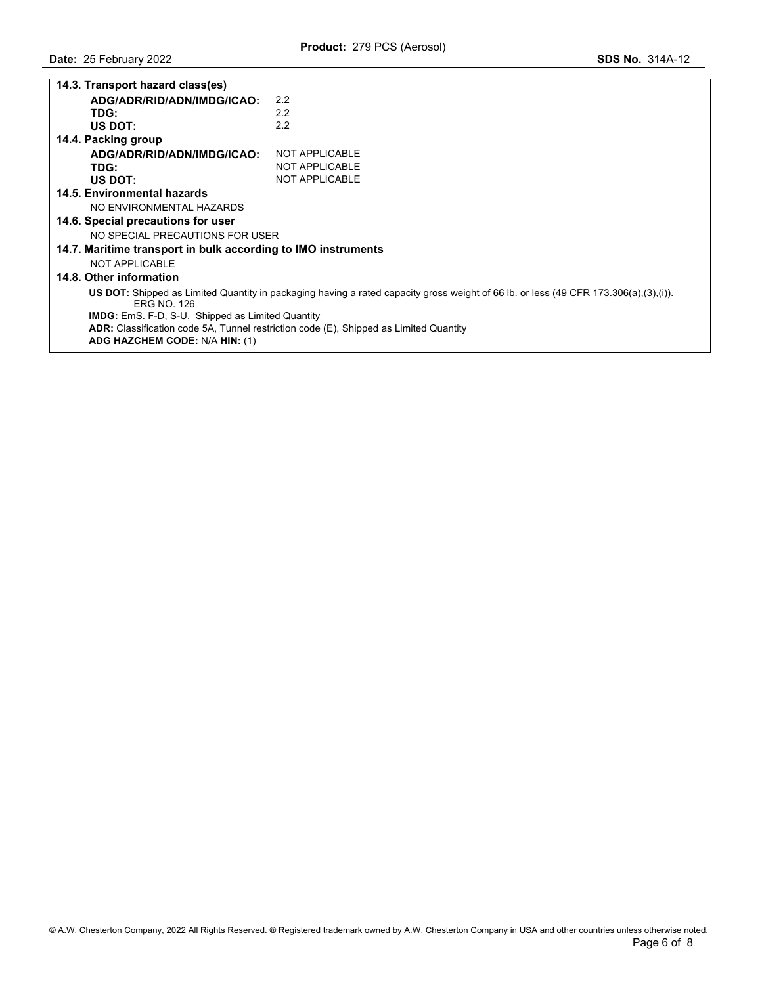| 14.3. Transport hazard class(es)                                                                                                                          |                       |  |  |
|-----------------------------------------------------------------------------------------------------------------------------------------------------------|-----------------------|--|--|
| ADG/ADR/RID/ADN/IMDG/ICAO:                                                                                                                                | 2.2                   |  |  |
| TDG:                                                                                                                                                      | 2.2                   |  |  |
| US DOT:                                                                                                                                                   | 2.2                   |  |  |
| 14.4. Packing group                                                                                                                                       |                       |  |  |
| ADG/ADR/RID/ADN/IMDG/ICAO:                                                                                                                                | NOT APPLICABLE        |  |  |
| TDG:                                                                                                                                                      | <b>NOT APPLICABLE</b> |  |  |
| US DOT:                                                                                                                                                   | NOT APPLICABLE        |  |  |
| 14.5. Environmental hazards                                                                                                                               |                       |  |  |
| NO ENVIRONMENTAL HAZARDS                                                                                                                                  |                       |  |  |
| 14.6. Special precautions for user                                                                                                                        |                       |  |  |
| NO SPECIAL PRECAUTIONS FOR USER                                                                                                                           |                       |  |  |
| 14.7. Maritime transport in bulk according to IMO instruments                                                                                             |                       |  |  |
| NOT APPLICABLE                                                                                                                                            |                       |  |  |
| 14.8. Other information                                                                                                                                   |                       |  |  |
| US DOT: Shipped as Limited Quantity in packaging having a rated capacity gross weight of 66 lb. or less (49 CFR 173.306(a),(3),(i)).<br><b>FRG NO 126</b> |                       |  |  |
| <b>IMDG:</b> EmS. F-D, S-U, Shipped as Limited Quantity                                                                                                   |                       |  |  |
| <b>ADR:</b> Classification code 5A, Tunnel restriction code (E), Shipped as Limited Quantity                                                              |                       |  |  |
| ADG HAZCHEM CODE: N/A HIN: (1)                                                                                                                            |                       |  |  |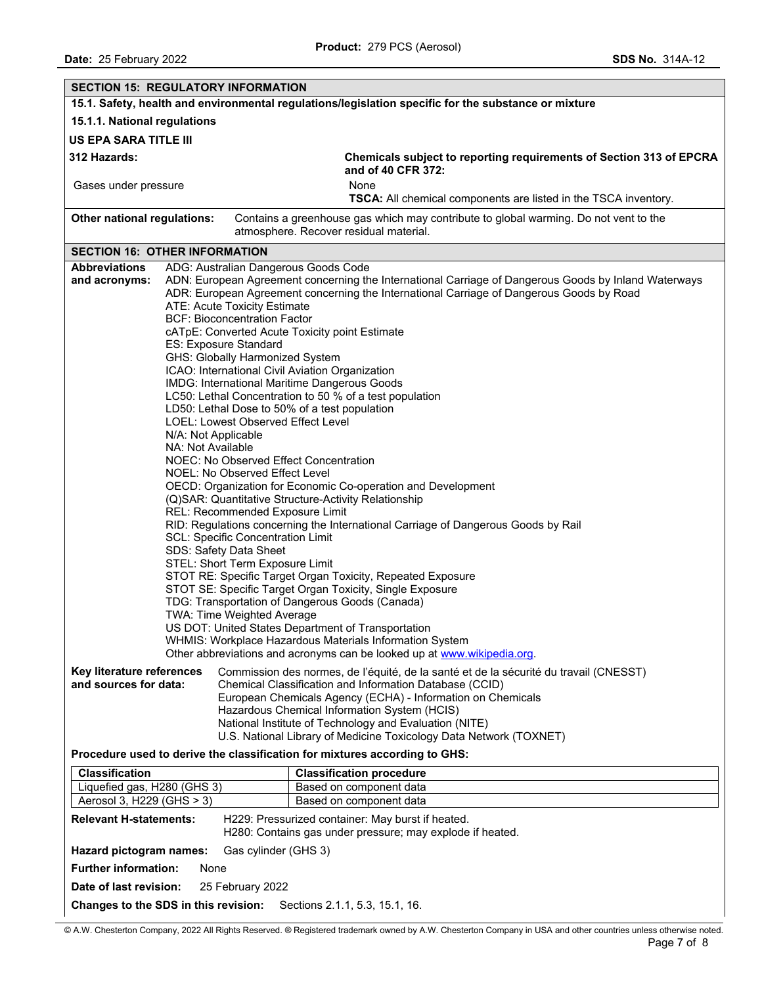| <b>SECTION 15: REGULATORY INFORMATION</b>                                                                                                                                                                                                                                                                                                                                                                                                                                                                                                                                                                                                                                                             |                                                                                                                                                                                                                                                                                                                                                                                                                                                                                                                                                                                                                                                                                                             |  |  |  |
|-------------------------------------------------------------------------------------------------------------------------------------------------------------------------------------------------------------------------------------------------------------------------------------------------------------------------------------------------------------------------------------------------------------------------------------------------------------------------------------------------------------------------------------------------------------------------------------------------------------------------------------------------------------------------------------------------------|-------------------------------------------------------------------------------------------------------------------------------------------------------------------------------------------------------------------------------------------------------------------------------------------------------------------------------------------------------------------------------------------------------------------------------------------------------------------------------------------------------------------------------------------------------------------------------------------------------------------------------------------------------------------------------------------------------------|--|--|--|
| 15.1. Safety, health and environmental regulations/legislation specific for the substance or mixture                                                                                                                                                                                                                                                                                                                                                                                                                                                                                                                                                                                                  |                                                                                                                                                                                                                                                                                                                                                                                                                                                                                                                                                                                                                                                                                                             |  |  |  |
| 15.1.1. National regulations                                                                                                                                                                                                                                                                                                                                                                                                                                                                                                                                                                                                                                                                          |                                                                                                                                                                                                                                                                                                                                                                                                                                                                                                                                                                                                                                                                                                             |  |  |  |
| <b>US EPA SARA TITLE III</b>                                                                                                                                                                                                                                                                                                                                                                                                                                                                                                                                                                                                                                                                          |                                                                                                                                                                                                                                                                                                                                                                                                                                                                                                                                                                                                                                                                                                             |  |  |  |
| 312 Hazards:<br>Chemicals subject to reporting requirements of Section 313 of EPCRA<br>and of 40 CFR 372:                                                                                                                                                                                                                                                                                                                                                                                                                                                                                                                                                                                             |                                                                                                                                                                                                                                                                                                                                                                                                                                                                                                                                                                                                                                                                                                             |  |  |  |
| Gases under pressure                                                                                                                                                                                                                                                                                                                                                                                                                                                                                                                                                                                                                                                                                  | None<br>TSCA: All chemical components are listed in the TSCA inventory.                                                                                                                                                                                                                                                                                                                                                                                                                                                                                                                                                                                                                                     |  |  |  |
| Other national regulations:                                                                                                                                                                                                                                                                                                                                                                                                                                                                                                                                                                                                                                                                           | Contains a greenhouse gas which may contribute to global warming. Do not vent to the<br>atmosphere. Recover residual material.                                                                                                                                                                                                                                                                                                                                                                                                                                                                                                                                                                              |  |  |  |
| <b>SECTION 16: OTHER INFORMATION</b>                                                                                                                                                                                                                                                                                                                                                                                                                                                                                                                                                                                                                                                                  |                                                                                                                                                                                                                                                                                                                                                                                                                                                                                                                                                                                                                                                                                                             |  |  |  |
| <b>Abbreviations</b><br>ADG: Australian Dangerous Goods Code                                                                                                                                                                                                                                                                                                                                                                                                                                                                                                                                                                                                                                          |                                                                                                                                                                                                                                                                                                                                                                                                                                                                                                                                                                                                                                                                                                             |  |  |  |
| and acronyms:<br>ATE: Acute Toxicity Estimate<br><b>BCF: Bioconcentration Factor</b><br>cATpE: Converted Acute Toxicity point Estimate<br><b>ES: Exposure Standard</b><br>GHS: Globally Harmonized System<br>ICAO: International Civil Aviation Organization<br>IMDG: International Maritime Dangerous Goods<br>LD50: Lethal Dose to 50% of a test population<br>LOEL: Lowest Observed Effect Level<br>N/A: Not Applicable<br>NA: Not Available<br>NOEC: No Observed Effect Concentration<br>NOEL: No Observed Effect Level<br>REL: Recommended Exposure Limit<br><b>SCL: Specific Concentration Limit</b><br>SDS: Safety Data Sheet<br>STEL: Short Term Exposure Limit<br>TWA: Time Weighted Average | ADN: European Agreement concerning the International Carriage of Dangerous Goods by Inland Waterways<br>ADR: European Agreement concerning the International Carriage of Dangerous Goods by Road<br>LC50: Lethal Concentration to 50 % of a test population<br>OECD: Organization for Economic Co-operation and Development<br>(Q)SAR: Quantitative Structure-Activity Relationship<br>RID: Regulations concerning the International Carriage of Dangerous Goods by Rail<br>STOT RE: Specific Target Organ Toxicity, Repeated Exposure<br>STOT SE: Specific Target Organ Toxicity, Single Exposure<br>TDG: Transportation of Dangerous Goods (Canada)<br>US DOT: United States Department of Transportation |  |  |  |
| WHMIS: Workplace Hazardous Materials Information System                                                                                                                                                                                                                                                                                                                                                                                                                                                                                                                                                                                                                                               |                                                                                                                                                                                                                                                                                                                                                                                                                                                                                                                                                                                                                                                                                                             |  |  |  |
| Other abbreviations and acronyms can be looked up at www.wikipedia.org.                                                                                                                                                                                                                                                                                                                                                                                                                                                                                                                                                                                                                               |                                                                                                                                                                                                                                                                                                                                                                                                                                                                                                                                                                                                                                                                                                             |  |  |  |
| Commission des normes, de l'équité, de la santé et de la sécurité du travail (CNESST)<br>Key literature references<br>and sources for data:<br>Chemical Classification and Information Database (CCID)<br>European Chemicals Agency (ECHA) - Information on Chemicals<br>Hazardous Chemical Information System (HCIS)<br>National Institute of Technology and Evaluation (NITE)<br>U.S. National Library of Medicine Toxicology Data Network (TOXNET)<br>Procedure used to derive the classification for mixtures according to GHS:                                                                                                                                                                   |                                                                                                                                                                                                                                                                                                                                                                                                                                                                                                                                                                                                                                                                                                             |  |  |  |
| Classification<br><b>Classification procedure</b>                                                                                                                                                                                                                                                                                                                                                                                                                                                                                                                                                                                                                                                     |                                                                                                                                                                                                                                                                                                                                                                                                                                                                                                                                                                                                                                                                                                             |  |  |  |
| Liquefied gas, H280 (GHS 3)                                                                                                                                                                                                                                                                                                                                                                                                                                                                                                                                                                                                                                                                           | Based on component data                                                                                                                                                                                                                                                                                                                                                                                                                                                                                                                                                                                                                                                                                     |  |  |  |
| Aerosol 3, H229 (GHS > 3)                                                                                                                                                                                                                                                                                                                                                                                                                                                                                                                                                                                                                                                                             | Based on component data                                                                                                                                                                                                                                                                                                                                                                                                                                                                                                                                                                                                                                                                                     |  |  |  |
| <b>Relevant H-statements:</b>                                                                                                                                                                                                                                                                                                                                                                                                                                                                                                                                                                                                                                                                         | H229: Pressurized container: May burst if heated.<br>H280: Contains gas under pressure; may explode if heated.                                                                                                                                                                                                                                                                                                                                                                                                                                                                                                                                                                                              |  |  |  |
| Hazard pictogram names:<br>Gas cylinder (GHS 3)                                                                                                                                                                                                                                                                                                                                                                                                                                                                                                                                                                                                                                                       |                                                                                                                                                                                                                                                                                                                                                                                                                                                                                                                                                                                                                                                                                                             |  |  |  |
| <b>Further information:</b><br>None                                                                                                                                                                                                                                                                                                                                                                                                                                                                                                                                                                                                                                                                   |                                                                                                                                                                                                                                                                                                                                                                                                                                                                                                                                                                                                                                                                                                             |  |  |  |
| 25 February 2022<br>Date of last revision:                                                                                                                                                                                                                                                                                                                                                                                                                                                                                                                                                                                                                                                            |                                                                                                                                                                                                                                                                                                                                                                                                                                                                                                                                                                                                                                                                                                             |  |  |  |
| Changes to the SDS in this revision:<br>Sections 2.1.1, 5.3, 15.1, 16.                                                                                                                                                                                                                                                                                                                                                                                                                                                                                                                                                                                                                                |                                                                                                                                                                                                                                                                                                                                                                                                                                                                                                                                                                                                                                                                                                             |  |  |  |